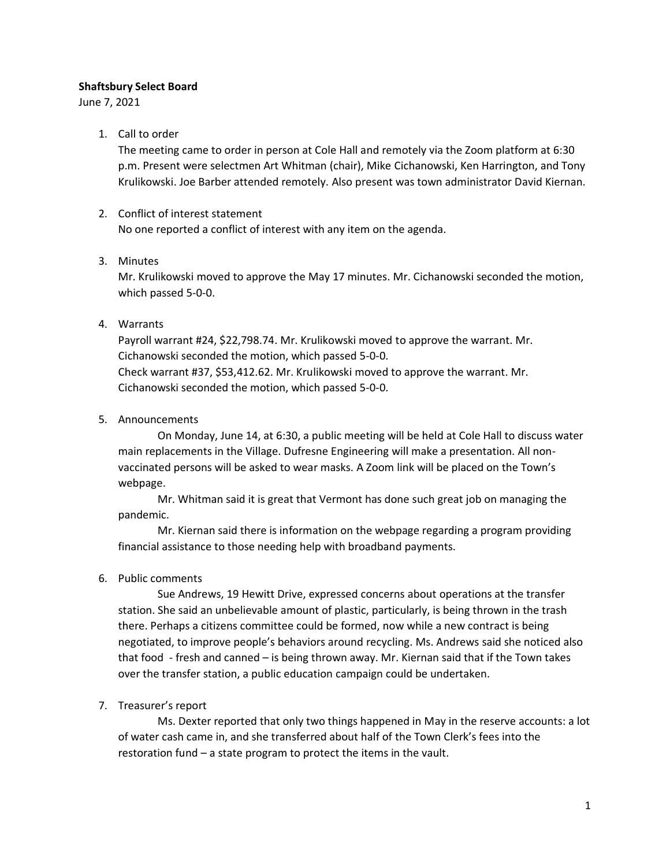### **Shaftsbury Select Board**

June 7, 2021

### 1. Call to order

The meeting came to order in person at Cole Hall and remotely via the Zoom platform at 6:30 p.m. Present were selectmen Art Whitman (chair), Mike Cichanowski, Ken Harrington, and Tony Krulikowski. Joe Barber attended remotely. Also present was town administrator David Kiernan.

# 2. Conflict of interest statement

No one reported a conflict of interest with any item on the agenda.

# 3. Minutes

Mr. Krulikowski moved to approve the May 17 minutes. Mr. Cichanowski seconded the motion, which passed 5-0-0.

# 4. Warrants

Payroll warrant #24, \$22,798.74. Mr. Krulikowski moved to approve the warrant. Mr. Cichanowski seconded the motion, which passed 5-0-0. Check warrant #37, \$53,412.62. Mr. Krulikowski moved to approve the warrant. Mr. Cichanowski seconded the motion, which passed 5-0-0.

5. Announcements

On Monday, June 14, at 6:30, a public meeting will be held at Cole Hall to discuss water main replacements in the Village. Dufresne Engineering will make a presentation. All nonvaccinated persons will be asked to wear masks. A Zoom link will be placed on the Town's webpage.

Mr. Whitman said it is great that Vermont has done such great job on managing the pandemic.

Mr. Kiernan said there is information on the webpage regarding a program providing financial assistance to those needing help with broadband payments.

### 6. Public comments

Sue Andrews, 19 Hewitt Drive, expressed concerns about operations at the transfer station. She said an unbelievable amount of plastic, particularly, is being thrown in the trash there. Perhaps a citizens committee could be formed, now while a new contract is being negotiated, to improve people's behaviors around recycling. Ms. Andrews said she noticed also that food - fresh and canned – is being thrown away. Mr. Kiernan said that if the Town takes over the transfer station, a public education campaign could be undertaken.

# 7. Treasurer's report

Ms. Dexter reported that only two things happened in May in the reserve accounts: a lot of water cash came in, and she transferred about half of the Town Clerk's fees into the restoration fund – a state program to protect the items in the vault.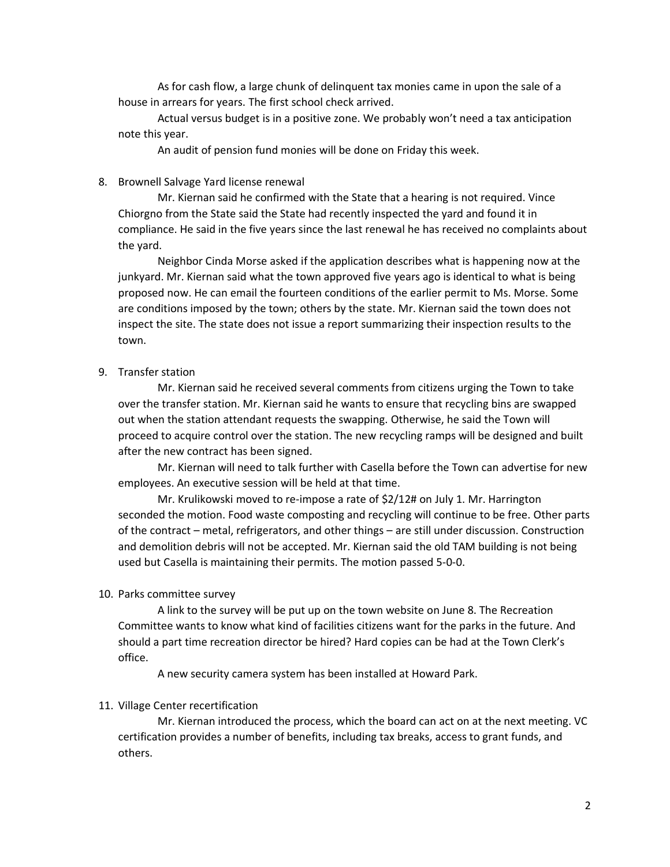As for cash flow, a large chunk of delinquent tax monies came in upon the sale of a house in arrears for years. The first school check arrived.

Actual versus budget is in a positive zone. We probably won't need a tax anticipation note this year.

An audit of pension fund monies will be done on Friday this week.

#### 8. Brownell Salvage Yard license renewal

Mr. Kiernan said he confirmed with the State that a hearing is not required. Vince Chiorgno from the State said the State had recently inspected the yard and found it in compliance. He said in the five years since the last renewal he has received no complaints about the yard.

Neighbor Cinda Morse asked if the application describes what is happening now at the junkyard. Mr. Kiernan said what the town approved five years ago is identical to what is being proposed now. He can email the fourteen conditions of the earlier permit to Ms. Morse. Some are conditions imposed by the town; others by the state. Mr. Kiernan said the town does not inspect the site. The state does not issue a report summarizing their inspection results to the town.

#### 9. Transfer station

Mr. Kiernan said he received several comments from citizens urging the Town to take over the transfer station. Mr. Kiernan said he wants to ensure that recycling bins are swapped out when the station attendant requests the swapping. Otherwise, he said the Town will proceed to acquire control over the station. The new recycling ramps will be designed and built after the new contract has been signed.

Mr. Kiernan will need to talk further with Casella before the Town can advertise for new employees. An executive session will be held at that time.

Mr. Krulikowski moved to re-impose a rate of \$2/12# on July 1. Mr. Harrington seconded the motion. Food waste composting and recycling will continue to be free. Other parts of the contract – metal, refrigerators, and other things – are still under discussion. Construction and demolition debris will not be accepted. Mr. Kiernan said the old TAM building is not being used but Casella is maintaining their permits. The motion passed 5-0-0.

#### 10. Parks committee survey

A link to the survey will be put up on the town website on June 8. The Recreation Committee wants to know what kind of facilities citizens want for the parks in the future. And should a part time recreation director be hired? Hard copies can be had at the Town Clerk's office.

A new security camera system has been installed at Howard Park.

#### 11. Village Center recertification

Mr. Kiernan introduced the process, which the board can act on at the next meeting. VC certification provides a number of benefits, including tax breaks, access to grant funds, and others.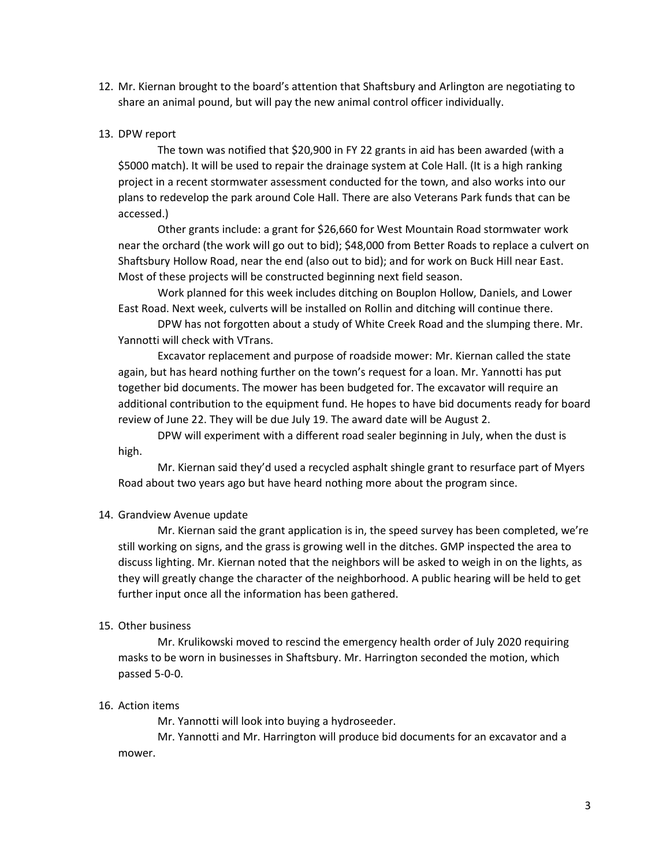12. Mr. Kiernan brought to the board's attention that Shaftsbury and Arlington are negotiating to share an animal pound, but will pay the new animal control officer individually.

### 13. DPW report

The town was notified that \$20,900 in FY 22 grants in aid has been awarded (with a \$5000 match). It will be used to repair the drainage system at Cole Hall. (It is a high ranking project in a recent stormwater assessment conducted for the town, and also works into our plans to redevelop the park around Cole Hall. There are also Veterans Park funds that can be accessed.)

Other grants include: a grant for \$26,660 for West Mountain Road stormwater work near the orchard (the work will go out to bid); \$48,000 from Better Roads to replace a culvert on Shaftsbury Hollow Road, near the end (also out to bid); and for work on Buck Hill near East. Most of these projects will be constructed beginning next field season.

Work planned for this week includes ditching on Bouplon Hollow, Daniels, and Lower East Road. Next week, culverts will be installed on Rollin and ditching will continue there.

DPW has not forgotten about a study of White Creek Road and the slumping there. Mr. Yannotti will check with VTrans.

Excavator replacement and purpose of roadside mower: Mr. Kiernan called the state again, but has heard nothing further on the town's request for a loan. Mr. Yannotti has put together bid documents. The mower has been budgeted for. The excavator will require an additional contribution to the equipment fund. He hopes to have bid documents ready for board review of June 22. They will be due July 19. The award date will be August 2.

DPW will experiment with a different road sealer beginning in July, when the dust is high.

Mr. Kiernan said they'd used a recycled asphalt shingle grant to resurface part of Myers Road about two years ago but have heard nothing more about the program since.

#### 14. Grandview Avenue update

Mr. Kiernan said the grant application is in, the speed survey has been completed, we're still working on signs, and the grass is growing well in the ditches. GMP inspected the area to discuss lighting. Mr. Kiernan noted that the neighbors will be asked to weigh in on the lights, as they will greatly change the character of the neighborhood. A public hearing will be held to get further input once all the information has been gathered.

#### 15. Other business

Mr. Krulikowski moved to rescind the emergency health order of July 2020 requiring masks to be worn in businesses in Shaftsbury. Mr. Harrington seconded the motion, which passed 5-0-0.

#### 16. Action items

Mr. Yannotti will look into buying a hydroseeder.

Mr. Yannotti and Mr. Harrington will produce bid documents for an excavator and a mower.